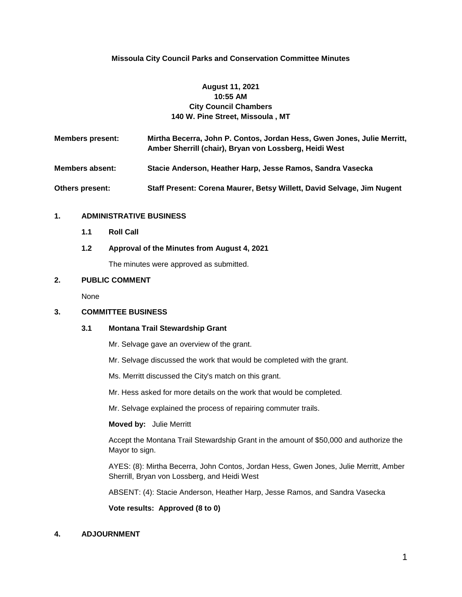# **Missoula City Council Parks and Conservation Committee Minutes**

# **August 11, 2021 10:55 AM City Council Chambers 140 W. Pine Street, Missoula , MT**

| <b>Members present:</b> | Mirtha Becerra, John P. Contos, Jordan Hess, Gwen Jones, Julie Merritt,<br>Amber Sherrill (chair), Bryan von Lossberg, Heidi West |
|-------------------------|-----------------------------------------------------------------------------------------------------------------------------------|
| <b>Members absent:</b>  | Stacie Anderson, Heather Harp, Jesse Ramos, Sandra Vasecka                                                                        |
| <b>Others present:</b>  | Staff Present: Corena Maurer, Betsy Willett, David Selvage, Jim Nugent                                                            |

## **1. ADMINISTRATIVE BUSINESS**

- **1.1 Roll Call**
- **1.2 Approval of the Minutes from August 4, 2021**

The minutes were approved as submitted.

### **2. PUBLIC COMMENT**

None

### **3. COMMITTEE BUSINESS**

#### **3.1 Montana Trail Stewardship Grant**

Mr. Selvage gave an overview of the grant.

Mr. Selvage discussed the work that would be completed with the grant.

Ms. Merritt discussed the City's match on this grant.

Mr. Hess asked for more details on the work that would be completed.

Mr. Selvage explained the process of repairing commuter trails.

#### **Moved by:** Julie Merritt

Accept the Montana Trail Stewardship Grant in the amount of \$50,000 and authorize the Mayor to sign.

AYES: (8): Mirtha Becerra, John Contos, Jordan Hess, Gwen Jones, Julie Merritt, Amber Sherrill, Bryan von Lossberg, and Heidi West

ABSENT: (4): Stacie Anderson, Heather Harp, Jesse Ramos, and Sandra Vasecka

**Vote results: Approved (8 to 0)**

### **4. ADJOURNMENT**